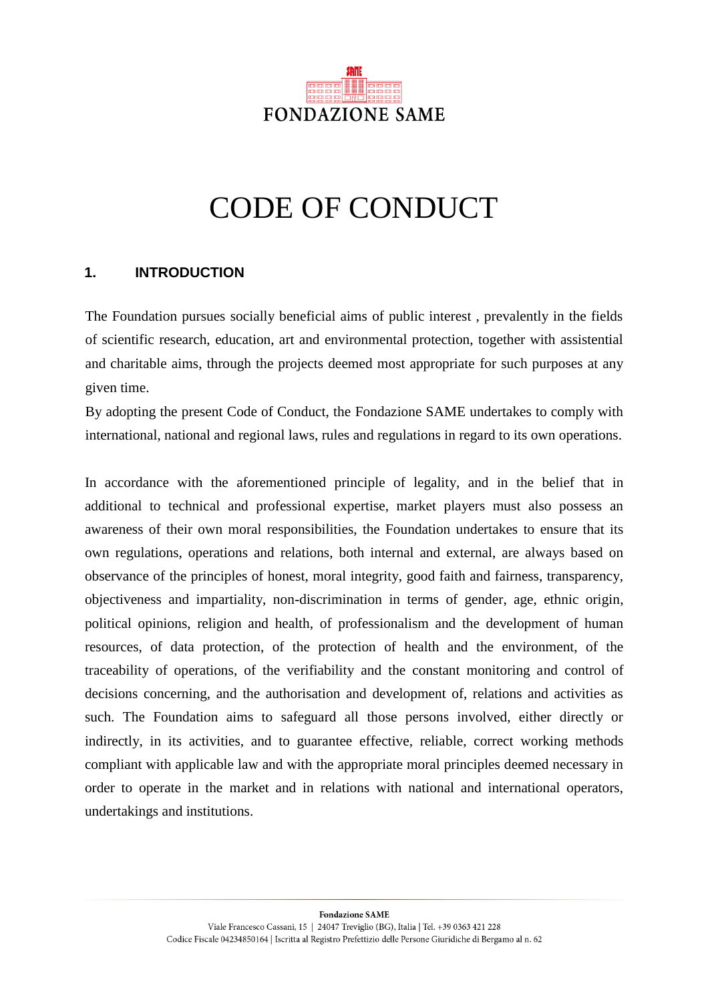

# CODE OF CONDUCT

## **1. INTRODUCTION**

The Foundation pursues socially beneficial aims of public interest , prevalently in the fields of scientific research, education, art and environmental protection, together with assistential and charitable aims, through the projects deemed most appropriate for such purposes at any given time.

By adopting the present Code of Conduct, the Fondazione SAME undertakes to comply with international, national and regional laws, rules and regulations in regard to its own operations.

In accordance with the aforementioned principle of legality, and in the belief that in additional to technical and professional expertise, market players must also possess an awareness of their own moral responsibilities, the Foundation undertakes to ensure that its own regulations, operations and relations, both internal and external, are always based on observance of the principles of honest, moral integrity, good faith and fairness, transparency, objectiveness and impartiality, non-discrimination in terms of gender, age, ethnic origin, political opinions, religion and health, of professionalism and the development of human resources, of data protection, of the protection of health and the environment, of the traceability of operations, of the verifiability and the constant monitoring and control of decisions concerning, and the authorisation and development of, relations and activities as such. The Foundation aims to safeguard all those persons involved, either directly or indirectly, in its activities, and to guarantee effective, reliable, correct working methods compliant with applicable law and with the appropriate moral principles deemed necessary in order to operate in the market and in relations with national and international operators, undertakings and institutions.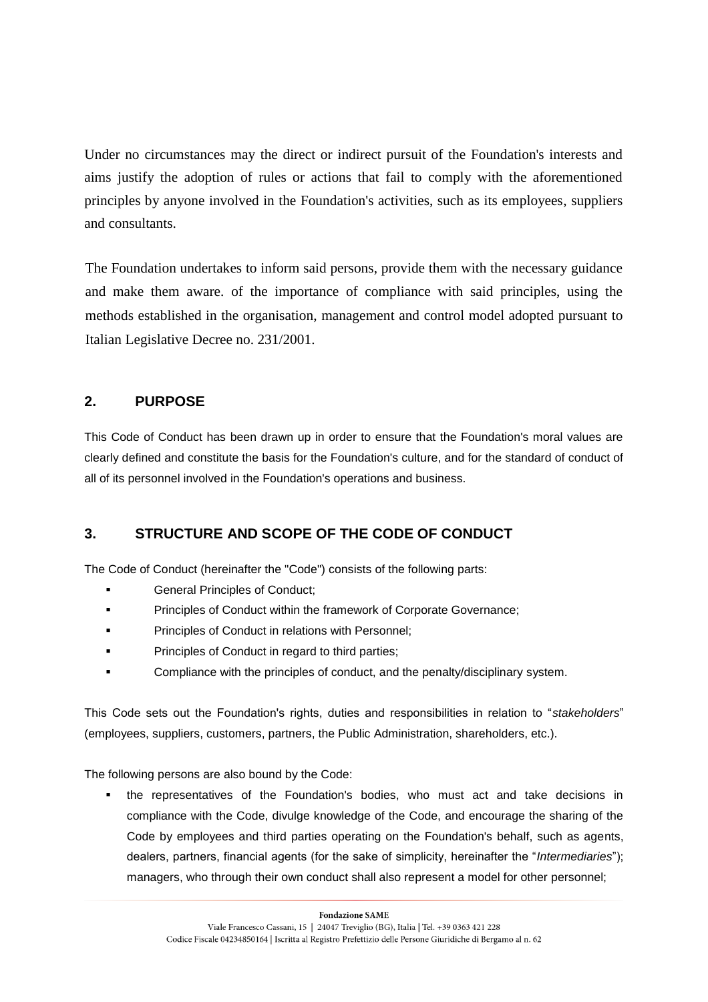Under no circumstances may the direct or indirect pursuit of the Foundation's interests and aims justify the adoption of rules or actions that fail to comply with the aforementioned principles by anyone involved in the Foundation's activities, such as its employees, suppliers and consultants.

The Foundation undertakes to inform said persons, provide them with the necessary guidance and make them aware. of the importance of compliance with said principles, using the methods established in the organisation, management and control model adopted pursuant to Italian Legislative Decree no. 231/2001.

# **2. PURPOSE**

This Code of Conduct has been drawn up in order to ensure that the Foundation's moral values are clearly defined and constitute the basis for the Foundation's culture, and for the standard of conduct of all of its personnel involved in the Foundation's operations and business.

# **3. STRUCTURE AND SCOPE OF THE CODE OF CONDUCT**

The Code of Conduct (hereinafter the "Code") consists of the following parts:

- **Example 3** General Principles of Conduct;
- **Principles of Conduct within the framework of Corporate Governance;**
- **Principles of Conduct in relations with Personnel;**
- **Principles of Conduct in regard to third parties;**
- Compliance with the principles of conduct, and the penalty/disciplinary system.

This Code sets out the Foundation's rights, duties and responsibilities in relation to "*stakeholders*" (employees, suppliers, customers, partners, the Public Administration, shareholders, etc.).

The following persons are also bound by the Code:

 the representatives of the Foundation's bodies, who must act and take decisions in compliance with the Code, divulge knowledge of the Code, and encourage the sharing of the Code by employees and third parties operating on the Foundation's behalf, such as agents, dealers, partners, financial agents (for the sake of simplicity, hereinafter the "*Intermediaries*"); managers, who through their own conduct shall also represent a model for other personnel;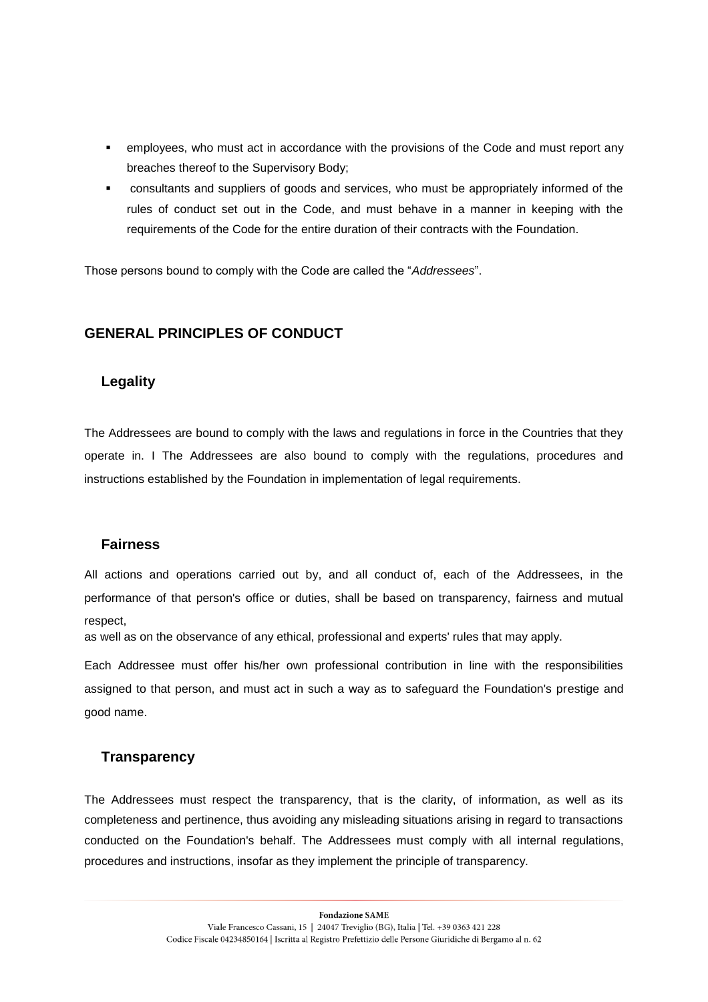- employees, who must act in accordance with the provisions of the Code and must report any breaches thereof to the Supervisory Body;
- consultants and suppliers of goods and services, who must be appropriately informed of the rules of conduct set out in the Code, and must behave in a manner in keeping with the requirements of the Code for the entire duration of their contracts with the Foundation.

Those persons bound to comply with the Code are called the "*Addressees*".

## **GENERAL PRINCIPLES OF CONDUCT**

#### **Legality**

The Addressees are bound to comply with the laws and regulations in force in the Countries that they operate in. I The Addressees are also bound to comply with the regulations, procedures and instructions established by the Foundation in implementation of legal requirements.

#### **Fairness**

All actions and operations carried out by, and all conduct of, each of the Addressees, in the performance of that person's office or duties, shall be based on transparency, fairness and mutual respect,

as well as on the observance of any ethical, professional and experts' rules that may apply.

Each Addressee must offer his/her own professional contribution in line with the responsibilities assigned to that person, and must act in such a way as to safeguard the Foundation's prestige and good name.

## **Transparency**

The Addressees must respect the transparency, that is the clarity, of information, as well as its completeness and pertinence, thus avoiding any misleading situations arising in regard to transactions conducted on the Foundation's behalf. The Addressees must comply with all internal regulations, procedures and instructions, insofar as they implement the principle of transparency.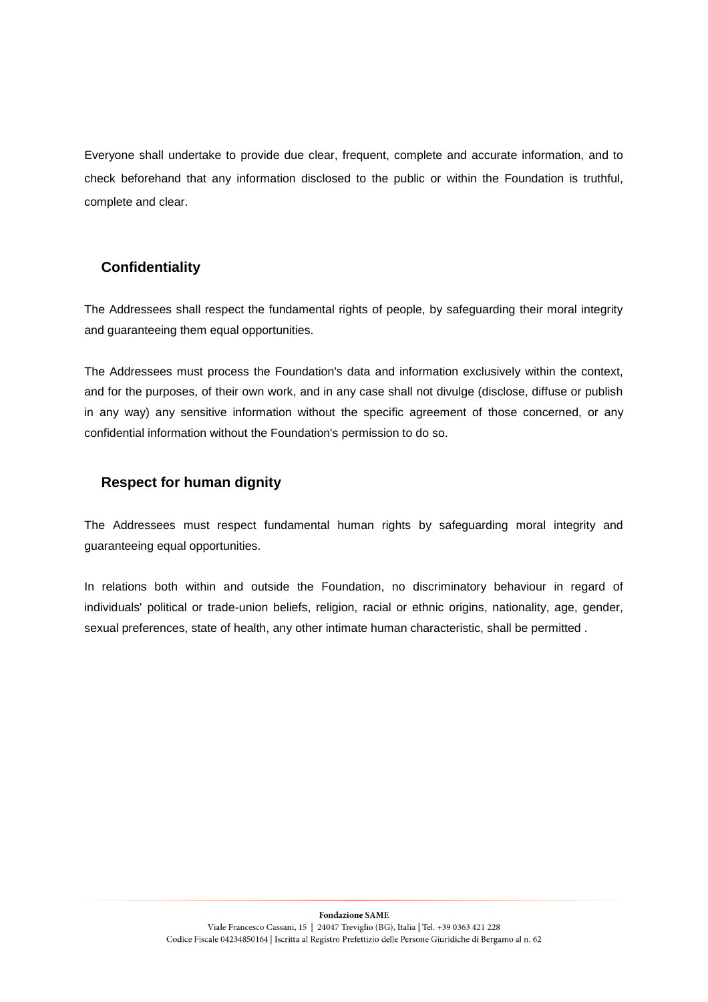Everyone shall undertake to provide due clear, frequent, complete and accurate information, and to check beforehand that any information disclosed to the public or within the Foundation is truthful, complete and clear.

# **Confidentiality**

The Addressees shall respect the fundamental rights of people, by safeguarding their moral integrity and guaranteeing them equal opportunities.

The Addressees must process the Foundation's data and information exclusively within the context, and for the purposes, of their own work, and in any case shall not divulge (disclose, diffuse or publish in any way) any sensitive information without the specific agreement of those concerned, or any confidential information without the Foundation's permission to do so.

## **Respect for human dignity**

The Addressees must respect fundamental human rights by safeguarding moral integrity and guaranteeing equal opportunities.

In relations both within and outside the Foundation, no discriminatory behaviour in regard of individuals' political or trade-union beliefs, religion, racial or ethnic origins, nationality, age, gender, sexual preferences, state of health, any other intimate human characteristic, shall be permitted .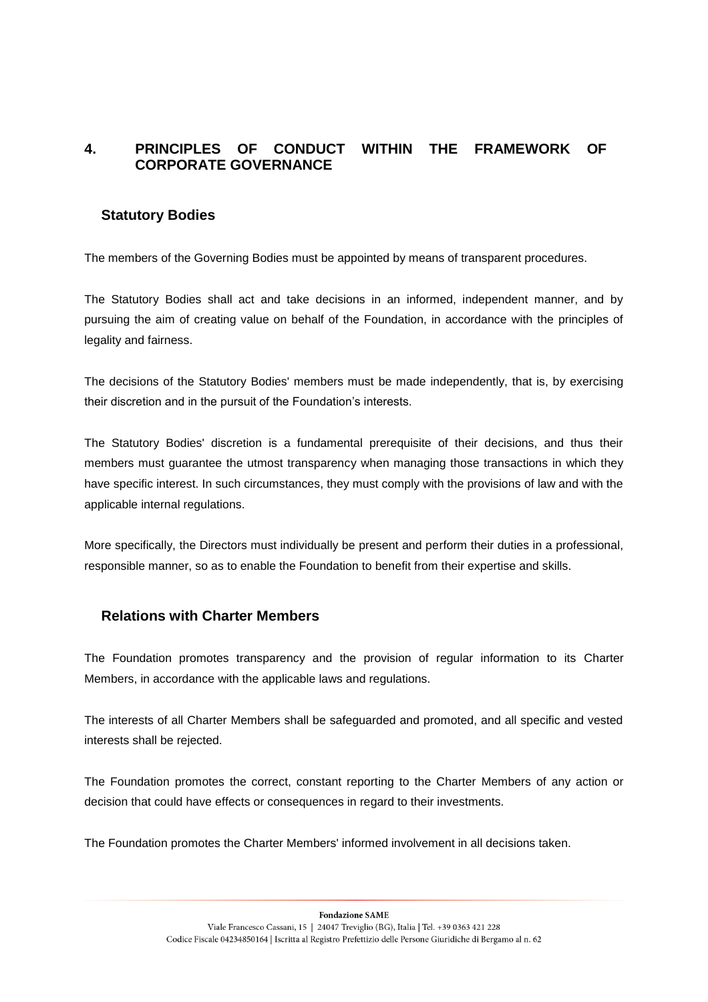# **4. PRINCIPLES OF CONDUCT WITHIN THE FRAMEWORK OF CORPORATE GOVERNANCE**

#### **Statutory Bodies**

The members of the Governing Bodies must be appointed by means of transparent procedures.

The Statutory Bodies shall act and take decisions in an informed, independent manner, and by pursuing the aim of creating value on behalf of the Foundation, in accordance with the principles of legality and fairness.

The decisions of the Statutory Bodies' members must be made independently, that is, by exercising their discretion and in the pursuit of the Foundation's interests.

The Statutory Bodies' discretion is a fundamental prerequisite of their decisions, and thus their members must guarantee the utmost transparency when managing those transactions in which they have specific interest. In such circumstances, they must comply with the provisions of law and with the applicable internal regulations.

More specifically, the Directors must individually be present and perform their duties in a professional, responsible manner, so as to enable the Foundation to benefit from their expertise and skills.

## **Relations with Charter Members**

The Foundation promotes transparency and the provision of regular information to its Charter Members, in accordance with the applicable laws and regulations.

The interests of all Charter Members shall be safeguarded and promoted, and all specific and vested interests shall be rejected.

The Foundation promotes the correct, constant reporting to the Charter Members of any action or decision that could have effects or consequences in regard to their investments.

The Foundation promotes the Charter Members' informed involvement in all decisions taken.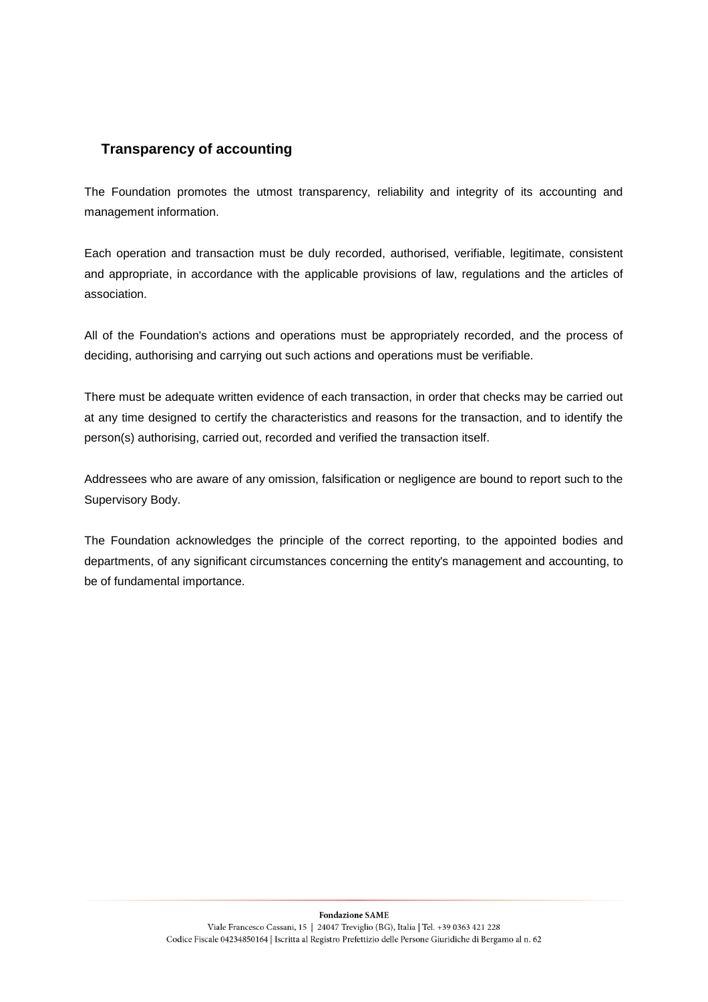# **Transparency of accounting**

The Foundation promotes the utmost transparency, reliability and integrity of its accounting and management information.

Each operation and transaction must be duly recorded, authorised, verifiable, legitimate, consistent and appropriate, in accordance with the applicable provisions of law, regulations and the articles of association.

All of the Foundation's actions and operations must be appropriately recorded, and the process of deciding, authorising and carrying out such actions and operations must be verifiable.

There must be adequate written evidence of each transaction, in order that checks may be carried out at any time designed to certify the characteristics and reasons for the transaction, and to identify the person(s) authorising, carried out, recorded and verified the transaction itself.

Addressees who are aware of any omission, falsification or negligence are bound to report such to the Supervisory Body.

The Foundation acknowledges the principle of the correct reporting, to the appointed bodies and departments, of any significant circumstances concerning the entity's management and accounting, to be of fundamental importance.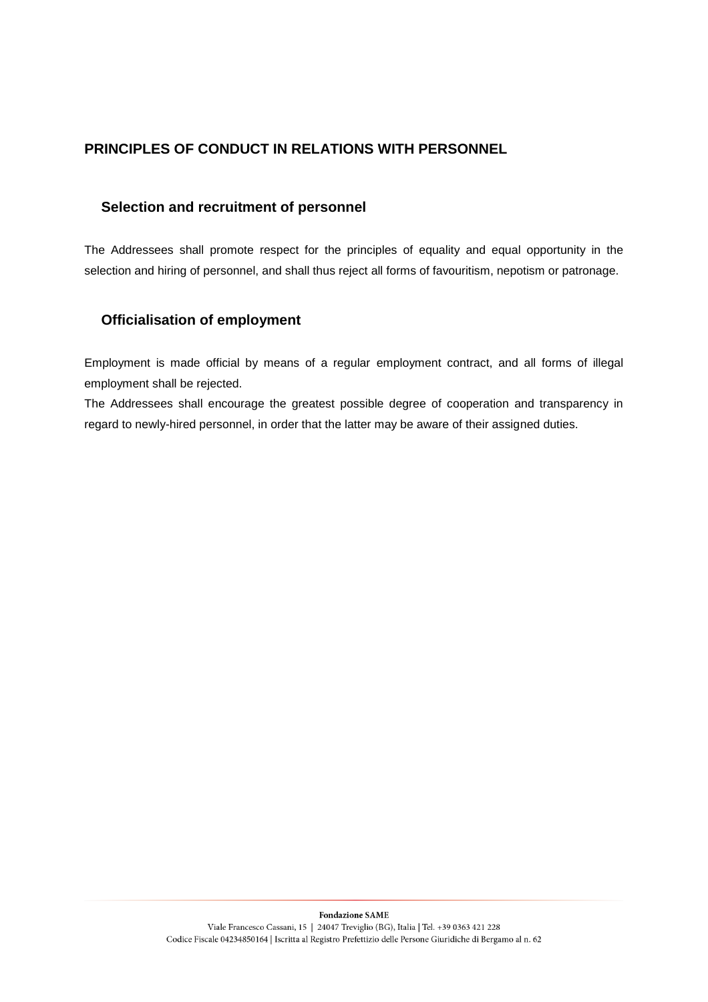# **PRINCIPLES OF CONDUCT IN RELATIONS WITH PERSONNEL**

## **Selection and recruitment of personnel**

The Addressees shall promote respect for the principles of equality and equal opportunity in the selection and hiring of personnel, and shall thus reject all forms of favouritism, nepotism or patronage.

## **Officialisation of employment**

Employment is made official by means of a regular employment contract, and all forms of illegal employment shall be rejected.

The Addressees shall encourage the greatest possible degree of cooperation and transparency in regard to newly-hired personnel, in order that the latter may be aware of their assigned duties.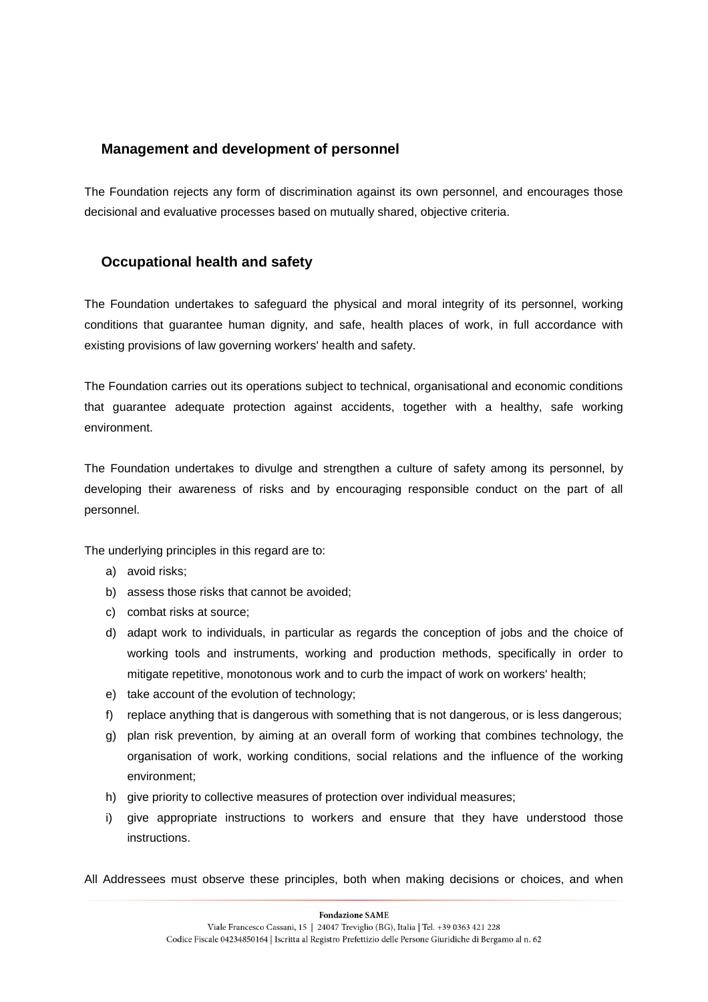## **Management and development of personnel**

The Foundation rejects any form of discrimination against its own personnel, and encourages those decisional and evaluative processes based on mutually shared, objective criteria.

## **Occupational health and safety**

The Foundation undertakes to safeguard the physical and moral integrity of its personnel, working conditions that guarantee human dignity, and safe, health places of work, in full accordance with existing provisions of law governing workers' health and safety.

The Foundation carries out its operations subject to technical, organisational and economic conditions that guarantee adequate protection against accidents, together with a healthy, safe working environment.

The Foundation undertakes to divulge and strengthen a culture of safety among its personnel, by developing their awareness of risks and by encouraging responsible conduct on the part of all personnel.

The underlying principles in this regard are to:

- a) avoid risks;
- b) assess those risks that cannot be avoided;
- c) combat risks at source;
- d) adapt work to individuals, in particular as regards the conception of jobs and the choice of working tools and instruments, working and production methods, specifically in order to mitigate repetitive, monotonous work and to curb the impact of work on workers' health;
- e) take account of the evolution of technology;
- f) replace anything that is dangerous with something that is not dangerous, or is less dangerous;
- g) plan risk prevention, by aiming at an overall form of working that combines technology, the organisation of work, working conditions, social relations and the influence of the working environment;
- h) give priority to collective measures of protection over individual measures;
- i) give appropriate instructions to workers and ensure that they have understood those instructions.
- All Addressees must observe these principles, both when making decisions or choices, and when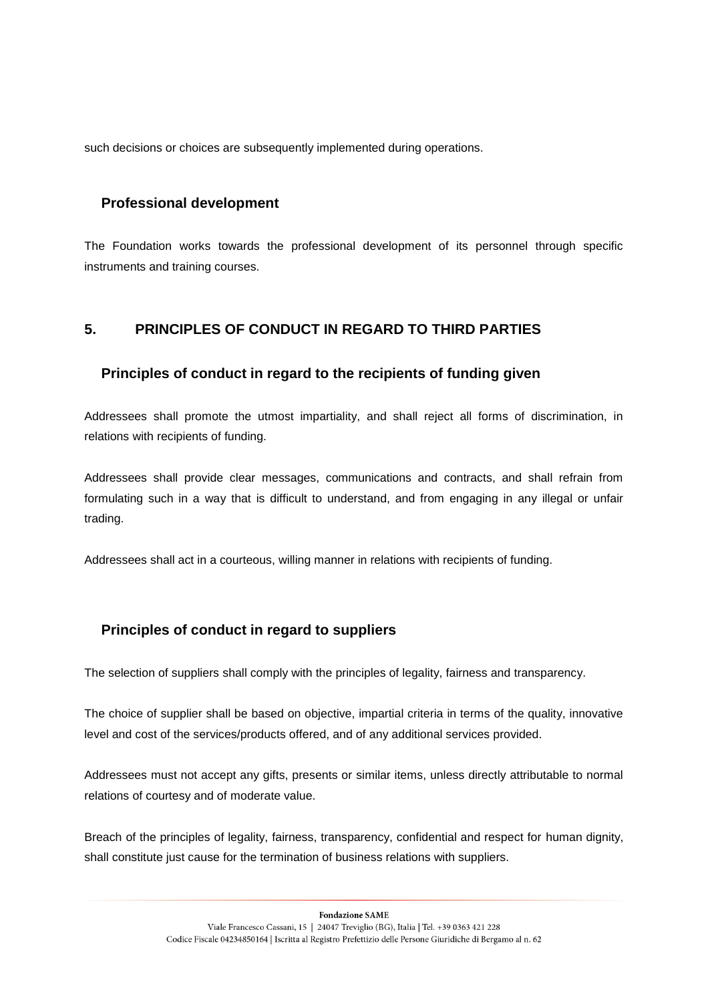such decisions or choices are subsequently implemented during operations.

## **Professional development**

The Foundation works towards the professional development of its personnel through specific instruments and training courses.

# **5. PRINCIPLES OF CONDUCT IN REGARD TO THIRD PARTIES**

## **Principles of conduct in regard to the recipients of funding given**

Addressees shall promote the utmost impartiality, and shall reject all forms of discrimination, in relations with recipients of funding.

Addressees shall provide clear messages, communications and contracts, and shall refrain from formulating such in a way that is difficult to understand, and from engaging in any illegal or unfair trading.

Addressees shall act in a courteous, willing manner in relations with recipients of funding.

## **Principles of conduct in regard to suppliers**

The selection of suppliers shall comply with the principles of legality, fairness and transparency.

The choice of supplier shall be based on objective, impartial criteria in terms of the quality, innovative level and cost of the services/products offered, and of any additional services provided.

Addressees must not accept any gifts, presents or similar items, unless directly attributable to normal relations of courtesy and of moderate value.

Breach of the principles of legality, fairness, transparency, confidential and respect for human dignity, shall constitute just cause for the termination of business relations with suppliers.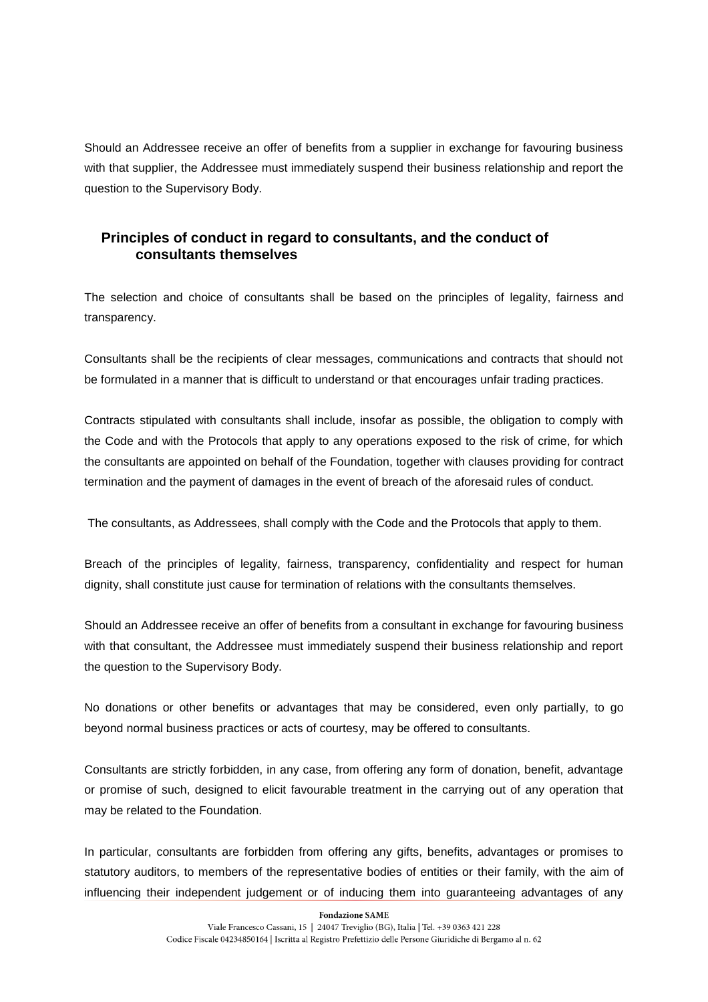Should an Addressee receive an offer of benefits from a supplier in exchange for favouring business with that supplier, the Addressee must immediately suspend their business relationship and report the question to the Supervisory Body.

# **Principles of conduct in regard to consultants, and the conduct of consultants themselves**

The selection and choice of consultants shall be based on the principles of legality, fairness and transparency.

Consultants shall be the recipients of clear messages, communications and contracts that should not be formulated in a manner that is difficult to understand or that encourages unfair trading practices.

Contracts stipulated with consultants shall include, insofar as possible, the obligation to comply with the Code and with the Protocols that apply to any operations exposed to the risk of crime, for which the consultants are appointed on behalf of the Foundation, together with clauses providing for contract termination and the payment of damages in the event of breach of the aforesaid rules of conduct.

The consultants, as Addressees, shall comply with the Code and the Protocols that apply to them.

Breach of the principles of legality, fairness, transparency, confidentiality and respect for human dignity, shall constitute just cause for termination of relations with the consultants themselves.

Should an Addressee receive an offer of benefits from a consultant in exchange for favouring business with that consultant, the Addressee must immediately suspend their business relationship and report the question to the Supervisory Body.

No donations or other benefits or advantages that may be considered, even only partially, to go beyond normal business practices or acts of courtesy, may be offered to consultants.

Consultants are strictly forbidden, in any case, from offering any form of donation, benefit, advantage or promise of such, designed to elicit favourable treatment in the carrying out of any operation that may be related to the Foundation.

In particular, consultants are forbidden from offering any gifts, benefits, advantages or promises to statutory auditors, to members of the representative bodies of entities or their family, with the aim of influencing their independent judgement or of inducing them into guaranteeing advantages of any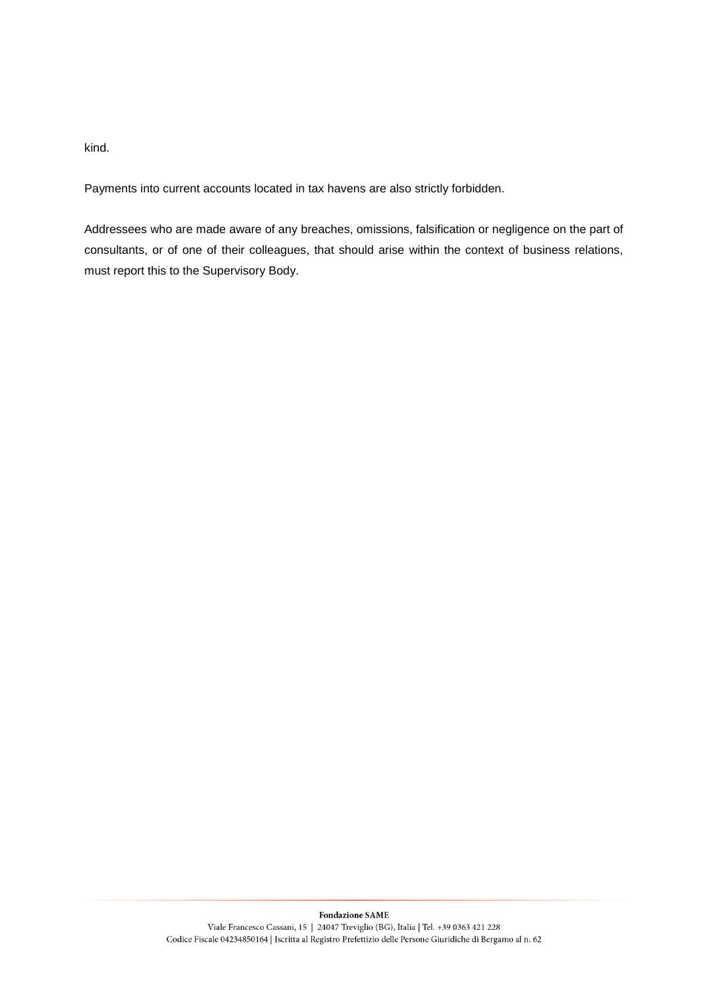kind.

Payments into current accounts located in tax havens are also strictly forbidden.

Addressees who are made aware of any breaches, omissions, falsification or negligence on the part of consultants, or of one of their colleagues, that should arise within the context of business relations, must report this to the Supervisory Body.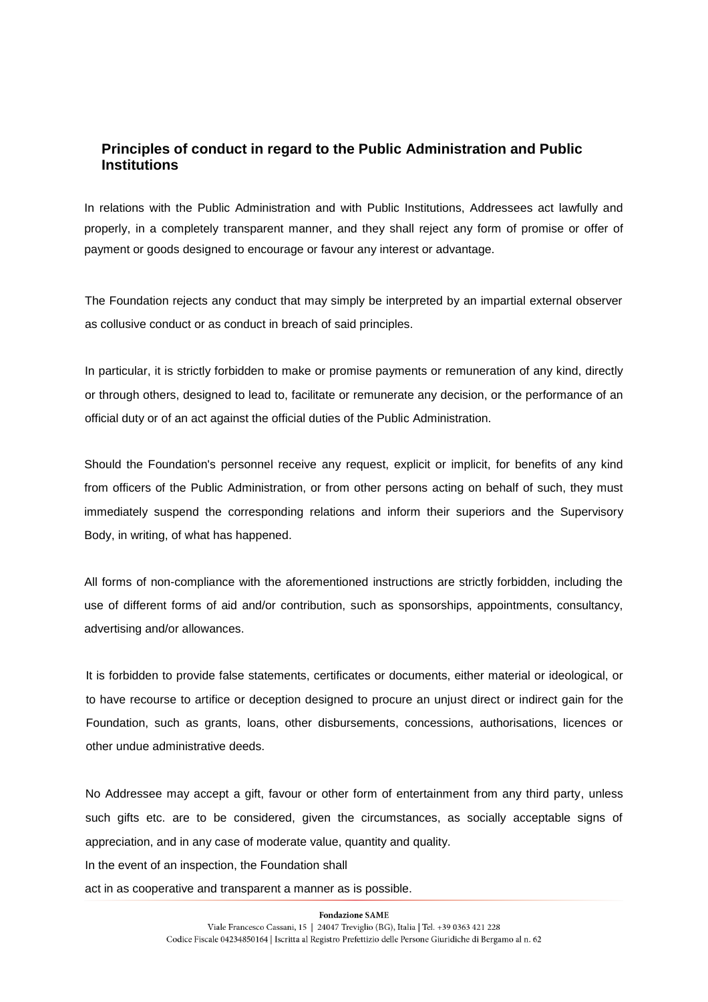# **Principles of conduct in regard to the Public Administration and Public Institutions**

In relations with the Public Administration and with Public Institutions, Addressees act lawfully and properly, in a completely transparent manner, and they shall reject any form of promise or offer of payment or goods designed to encourage or favour any interest or advantage.

The Foundation rejects any conduct that may simply be interpreted by an impartial external observer as collusive conduct or as conduct in breach of said principles.

In particular, it is strictly forbidden to make or promise payments or remuneration of any kind, directly or through others, designed to lead to, facilitate or remunerate any decision, or the performance of an official duty or of an act against the official duties of the Public Administration.

Should the Foundation's personnel receive any request, explicit or implicit, for benefits of any kind from officers of the Public Administration, or from other persons acting on behalf of such, they must immediately suspend the corresponding relations and inform their superiors and the Supervisory Body, in writing, of what has happened.

All forms of non-compliance with the aforementioned instructions are strictly forbidden, including the use of different forms of aid and/or contribution, such as sponsorships, appointments, consultancy, advertising and/or allowances.

It is forbidden to provide false statements, certificates or documents, either material or ideological, or to have recourse to artifice or deception designed to procure an unjust direct or indirect gain for the Foundation, such as grants, loans, other disbursements, concessions, authorisations, licences or other undue administrative deeds.

No Addressee may accept a gift, favour or other form of entertainment from any third party, unless such gifts etc. are to be considered, given the circumstances, as socially acceptable signs of appreciation, and in any case of moderate value, quantity and quality.

In the event of an inspection, the Foundation shall

act in as cooperative and transparent a manner as is possible.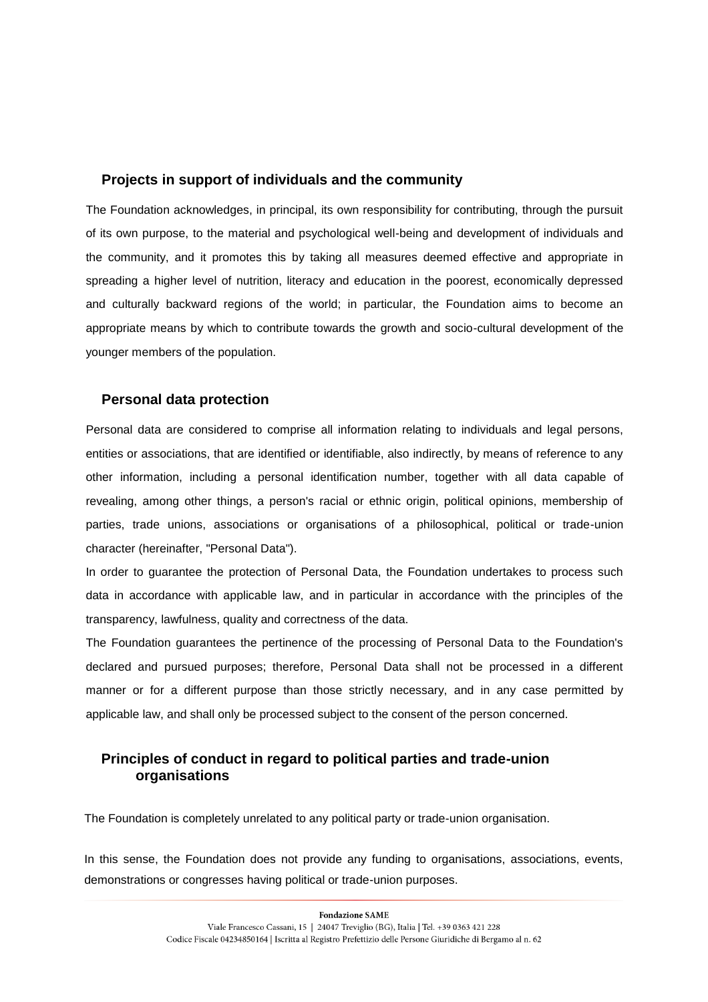#### **Projects in support of individuals and the community**

The Foundation acknowledges, in principal, its own responsibility for contributing, through the pursuit of its own purpose, to the material and psychological well-being and development of individuals and the community, and it promotes this by taking all measures deemed effective and appropriate in spreading a higher level of nutrition, literacy and education in the poorest, economically depressed and culturally backward regions of the world; in particular, the Foundation aims to become an appropriate means by which to contribute towards the growth and socio-cultural development of the younger members of the population.

#### **Personal data protection**

Personal data are considered to comprise all information relating to individuals and legal persons, entities or associations, that are identified or identifiable, also indirectly, by means of reference to any other information, including a personal identification number, together with all data capable of revealing, among other things, a person's racial or ethnic origin, political opinions, membership of parties, trade unions, associations or organisations of a philosophical, political or trade-union character (hereinafter, "Personal Data").

In order to guarantee the protection of Personal Data, the Foundation undertakes to process such data in accordance with applicable law, and in particular in accordance with the principles of the transparency, lawfulness, quality and correctness of the data.

The Foundation guarantees the pertinence of the processing of Personal Data to the Foundation's declared and pursued purposes; therefore, Personal Data shall not be processed in a different manner or for a different purpose than those strictly necessary, and in any case permitted by applicable law, and shall only be processed subject to the consent of the person concerned.

## **Principles of conduct in regard to political parties and trade-union organisations**

The Foundation is completely unrelated to any political party or trade-union organisation.

In this sense, the Foundation does not provide any funding to organisations, associations, events, demonstrations or congresses having political or trade-union purposes.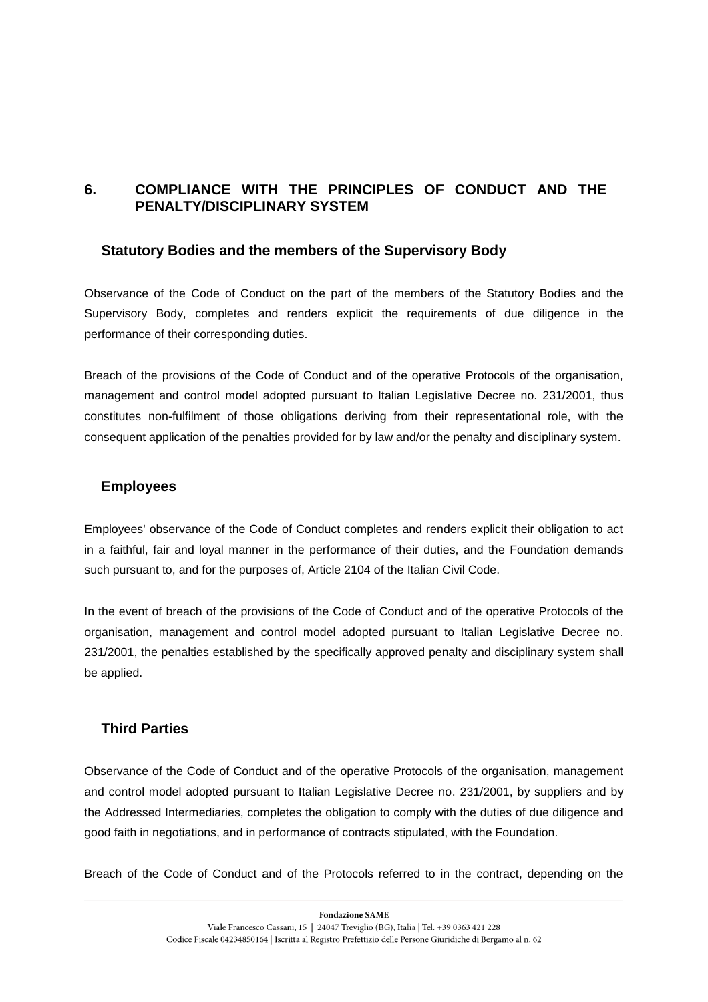# **6. COMPLIANCE WITH THE PRINCIPLES OF CONDUCT AND THE PENALTY/DISCIPLINARY SYSTEM**

#### **Statutory Bodies and the members of the Supervisory Body**

Observance of the Code of Conduct on the part of the members of the Statutory Bodies and the Supervisory Body, completes and renders explicit the requirements of due diligence in the performance of their corresponding duties.

Breach of the provisions of the Code of Conduct and of the operative Protocols of the organisation, management and control model adopted pursuant to Italian Legislative Decree no. 231/2001, thus constitutes non-fulfilment of those obligations deriving from their representational role, with the consequent application of the penalties provided for by law and/or the penalty and disciplinary system.

## **Employees**

Employees' observance of the Code of Conduct completes and renders explicit their obligation to act in a faithful, fair and loyal manner in the performance of their duties, and the Foundation demands such pursuant to, and for the purposes of, Article 2104 of the Italian Civil Code.

In the event of breach of the provisions of the Code of Conduct and of the operative Protocols of the organisation, management and control model adopted pursuant to Italian Legislative Decree no. 231/2001, the penalties established by the specifically approved penalty and disciplinary system shall be applied.

## **Third Parties**

Observance of the Code of Conduct and of the operative Protocols of the organisation, management and control model adopted pursuant to Italian Legislative Decree no. 231/2001, by suppliers and by the Addressed Intermediaries, completes the obligation to comply with the duties of due diligence and good faith in negotiations, and in performance of contracts stipulated, with the Foundation.

Breach of the Code of Conduct and of the Protocols referred to in the contract, depending on the